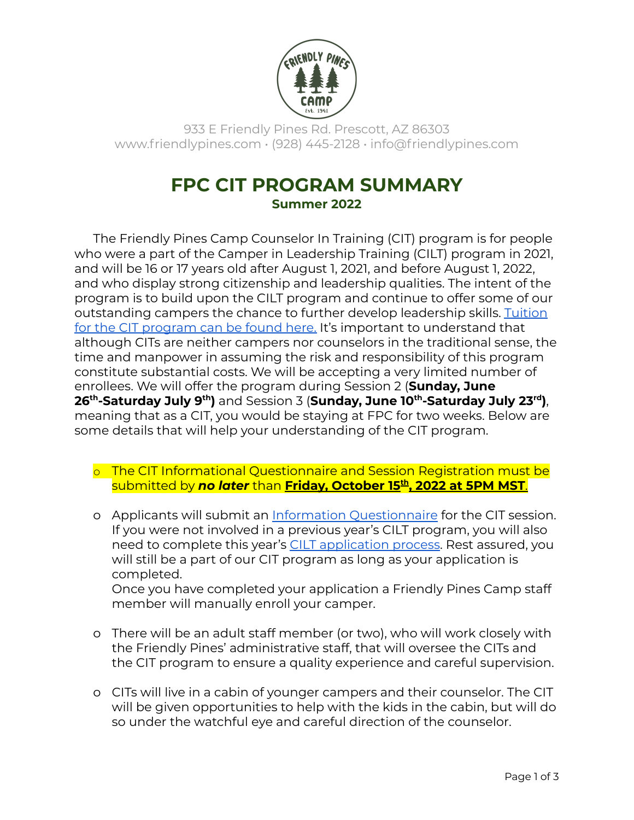

933 E Friendly Pines Rd. Prescott, AZ 86303 www.friendlypines.com • (928) 445-2128 • info@friendlypines.com

## **FPC CIT PROGRAM SUMMARY Summer 2022**

The Friendly Pines Camp Counselor In Training (CIT) program is for people who were a part of the Camper in Leadership Training (CILT) program in 2021, and will be 16 or 17 years old after August 1, 2021, and before August 1, 2022, and who display strong citizenship and leadership qualities. The intent of the program is to build upon the CILT program and continue to offer some of our outstanding campers the chance to further develop leadership skills. [Tuition](https://friendlypines.com/activities/cilt-and-cit/) for the CIT [program](https://friendlypines.com/activities/cilt-and-cit/) can be found here. It's important to understand that although CITs are neither campers nor counselors in the traditional sense, the time and manpower in assuming the risk and responsibility of this program constitute substantial costs. We will be accepting a very limited number of enrollees. We will offer the program during Session 2 (**Sunday, June 26 th -Saturday July 9 th )** and Session 3 (**Sunday, June 10 th -Saturday July 23 rd )**, meaning that as a CIT, you would be staying at FPC for two weeks. Below are some details that will help your understanding of the CIT program.

- o The CIT Informational Questionnaire and Session Registration must be submitted by *no later* than **Friday, October 15 th , 2022 at 5PM MST**.
- o Applicants will submit an Information [Questionnaire](https://forms.gle/FA1ybp1eF6b2omMC7) for the CIT session. If you were not involved in a previous year's CILT program, you will also need to complete this year's CILT [application](https://drive.google.com/file/d/1-_TLQGdmhZUSHh1T1MxnSiHHeA3Stpd6/view?usp=sharing) process. Rest assured, you will still be a part of our CIT program as long as your application is completed. Once you have completed your application a Friendly Pines Camp staff member will manually enroll your camper.
- o There will be an adult staff member (or two), who will work closely with the Friendly Pines' administrative staff, that will oversee the CITs and the CIT program to ensure a quality experience and careful supervision.
- o CITs will live in a cabin of younger campers and their counselor. The CIT will be given opportunities to help with the kids in the cabin, but will do so under the watchful eye and careful direction of the counselor.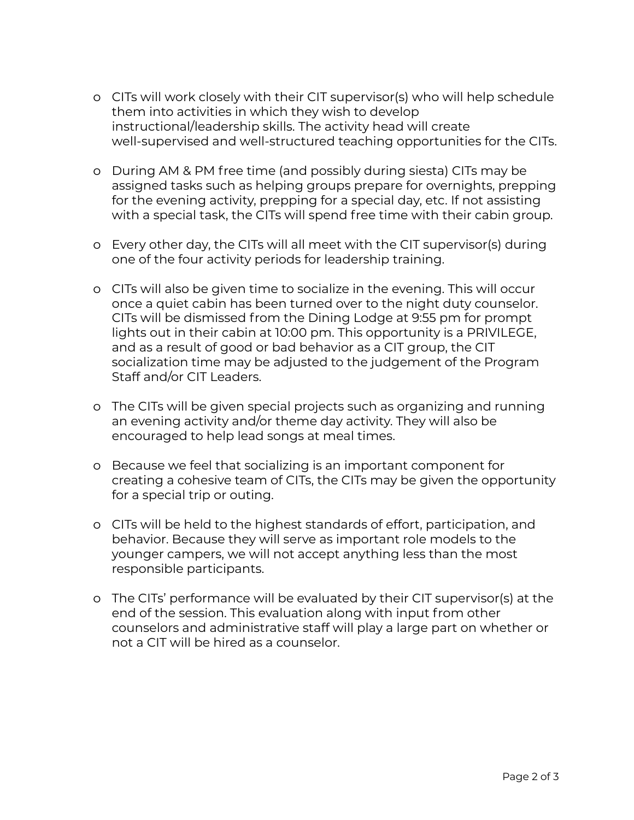- o CITs will work closely with their CIT supervisor(s) who will help schedule them into activities in which they wish to develop instructional/leadership skills. The activity head will create well-supervised and well-structured teaching opportunities for the CITs.
- o During AM & PM free time (and possibly during siesta) CITs may be assigned tasks such as helping groups prepare for overnights, prepping for the evening activity, prepping for a special day, etc. If not assisting with a special task, the CITs will spend free time with their cabin group.
- o Every other day, the CITs will all meet with the CIT supervisor(s) during one of the four activity periods for leadership training.
- o CITs will also be given time to socialize in the evening. This will occur once a quiet cabin has been turned over to the night duty counselor. CITs will be dismissed from the Dining Lodge at 9:55 pm for prompt lights out in their cabin at 10:00 pm. This opportunity is a PRIVILEGE, and as a result of good or bad behavior as a CIT group, the CIT socialization time may be adjusted to the judgement of the Program Staff and/or CIT Leaders.
- o The CITs will be given special projects such as organizing and running an evening activity and/or theme day activity. They will also be encouraged to help lead songs at meal times.
- o Because we feel that socializing is an important component for creating a cohesive team of CITs, the CITs may be given the opportunity for a special trip or outing.
- o CITs will be held to the highest standards of effort, participation, and behavior. Because they will serve as important role models to the younger campers, we will not accept anything less than the most responsible participants.
- o The CITs' performance will be evaluated by their CIT supervisor(s) at the end of the session. This evaluation along with input from other counselors and administrative staff will play a large part on whether or not a CIT will be hired as a counselor.